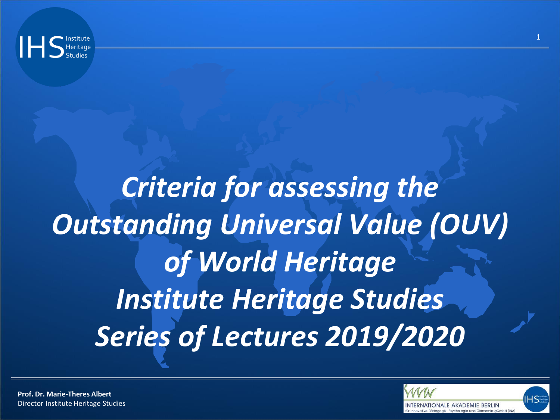

# *Criteria for assessing the Outstanding Universal Value (OUV) of World Heritage Institute Heritage Studies Series of Lectures 2019/2020*

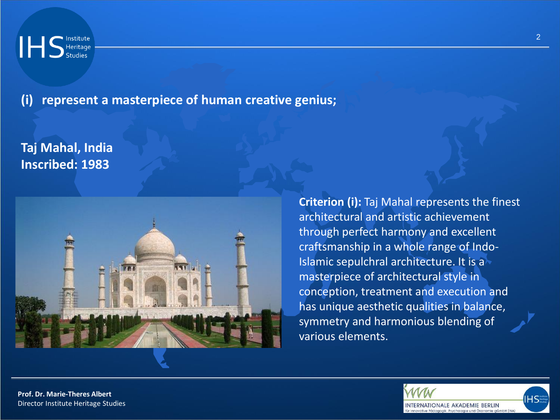**(i) represent a masterpiece of human creative genius;**

## **Taj Mahal, India Inscribed: 1983**



**Criterion (i):** Taj Mahal represents the finest architectural and artistic achievement through perfect harmony and excellent craftsmanship in a whole range of Indo-Islamic sepulchral architecture. It is a masterpiece of architectural style in conception, treatment and execution and has unique aesthetic qualities in balance, symmetry and harmonious blending of various elements.



2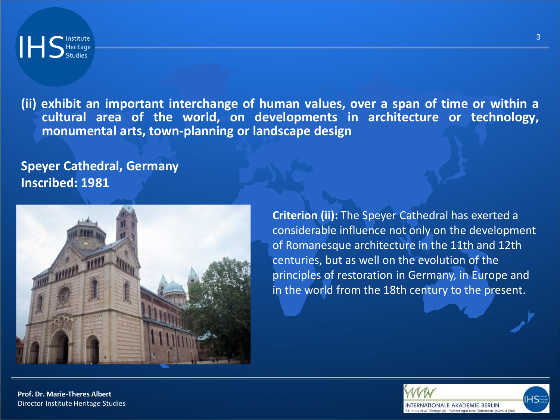

**(ii) exhibit an important interchange of human values, over a span of time or within a cultural area of the world, on developments in architecture or technology, monumental arts, town-planning or landscape design**

**Speyer Cathedral, Germany Inscribed: 1981** 



**Criterion (ii):** The Speyer Cathedral has exerted a considerable influence not only on the development of Romanesque architecture in the 11th and 12th centuries, but as well on the evolution of the principles of restoration in Germany, in Europe and in the world from the 18th century to the present.



3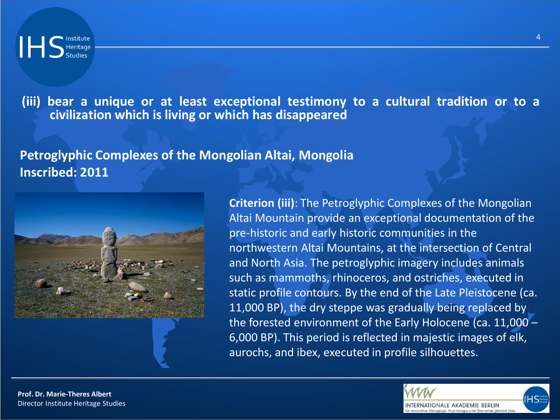**(iii) bear a unique or at least exceptional testimony to a cultural tradition or to a civilization which is living or which has disappeared**

**Petroglyphic Complexes of the Mongolian Altai, Mongolia Inscribed: 2011** 



**Criterion (iii)**: The Petroglyphic Complexes of the Mongolian Altai Mountain provide an exceptional documentation of the pre-historic and early historic communities in the northwestern Altai Mountains, at the intersection of Central and North Asia. The petroglyphic imagery includes animals such as mammoths, rhinoceros, and ostriches, executed in static profile contours. By the end of the Late Pleistocene (ca. 11,000 BP), the dry steppe was gradually being replaced by the forested environment of the Early Holocene (ca. 11,000 – 6,000 BP). This period is reflected in majestic images of elk, aurochs, and ibex, executed in profile silhouettes.

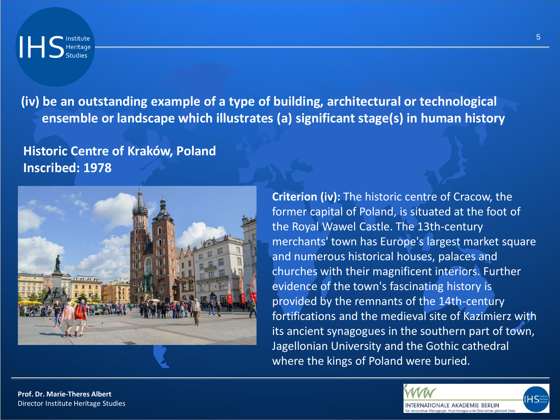**(iv) be an outstanding example of a type of building, architectural or technological ensemble or landscape which illustrates (a) significant stage(s) in human history**

# **Historic Centre of Kraków, Poland Inscribed: 1978**



**Criterion (iv):** The historic centre of Cracow, the former capital of Poland, is situated at the foot of the Royal Wawel Castle. The 13th-century merchants' town has Europe's largest market square and numerous historical houses, palaces and churches with their magnificent interiors. Further evidence of the town's fascinating history is provided by the remnants of the 14th-century fortifications and the medieval site of Kazimierz with its ancient synagogues in the southern part of town, Jagellonian University and the Gothic cathedral where the kings of Poland were buried.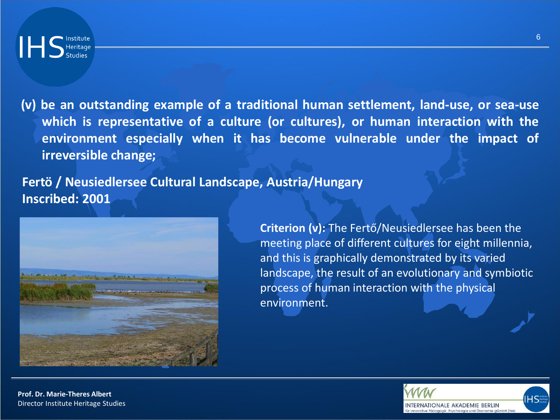

**(v) be an outstanding example of a traditional human settlement, land-use, or sea-use which is representative of a culture (or cultures), or human interaction with the environment especially when it has become vulnerable under the impact of irreversible change;**

**Fertö / Neusiedlersee Cultural Landscape, Austria/Hungary Inscribed: 2001**



**Criterion (v):** The Fertő/Neusiedlersee has been the meeting place of different cultures for eight millennia, and this is graphically demonstrated by its varied landscape, the result of an evolutionary and symbiotic process of human interaction with the physical environment.



6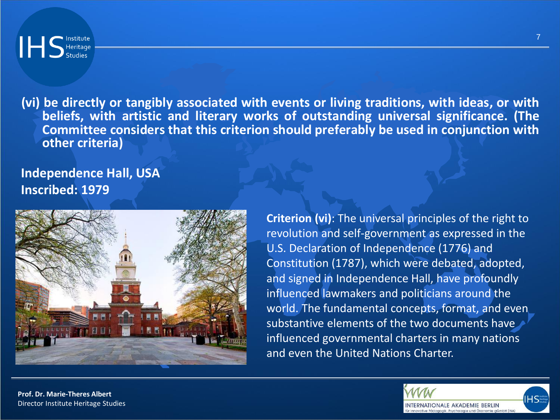

**(vi) be directly or tangibly associated with events or living traditions, with ideas, or with beliefs, with artistic and literary works of outstanding universal significance. (The Committee considers that this criterion should preferably be used in conjunction with other criteria)**

**Independence Hall, USA Inscribed: 1979**



**Criterion (vi)**: The universal principles of the right to revolution and self-government as expressed in the U.S. Declaration of Independence (1776) and Constitution (1787), which were debated, adopted, and signed in Independence Hall, have profoundly influenced lawmakers and politicians around the world. The fundamental concepts, format, and even substantive elements of the two documents have influenced governmental charters in many nations and even the United Nations Charter.

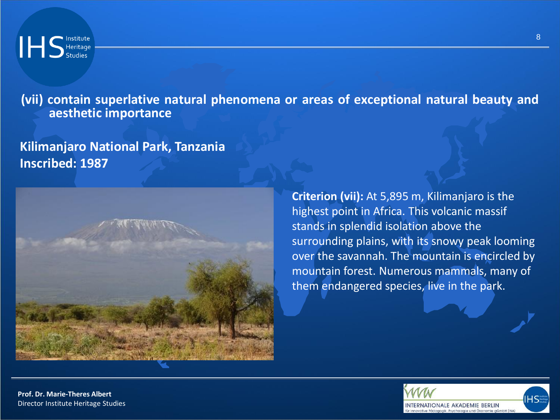**(vii) contain superlative natural phenomena or areas of exceptional natural beauty and aesthetic importance**

#### **Kilimanjaro National Park, Tanzania Inscribed: 1987**



**Criterion (vii):** At 5,895 m, Kilimanjaro is the highest point in Africa. This volcanic massif stands in splendid isolation above the surrounding plains, with its snowy peak looming over the savannah. The mountain is encircled by mountain forest. Numerous mammals, many of them endangered species, live in the park.

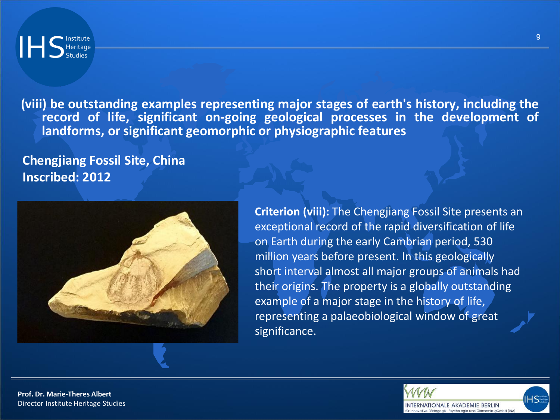**(viii) be outstanding examples representing major stages of earth's history, including the record of life, significant on-going geological processes in the development of landforms, or significant geomorphic or physiographic features**

**Chengjiang Fossil Site, China Inscribed: 2012**



**Criterion (viii):** The Chengjiang Fossil Site presents an exceptional record of the rapid diversification of life on Earth during the early Cambrian period, 530 million years before present. In this geologically short interval almost all major groups of animals had their origins. The property is a globally outstanding example of a major stage in the history of life, representing a palaeobiological window of great significance.



9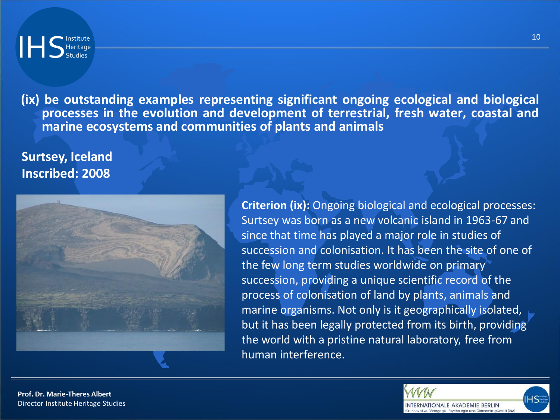**(ix) be outstanding examples representing significant ongoing ecological and biological processes in the evolution and development of terrestrial, fresh water, coastal and marine ecosystems and communities of plants and animals**

### **Surtsey, Iceland Inscribed: 2008**



**Criterion (ix):** Ongoing biological and ecological processes: Surtsey was born as a new volcanic island in 1963-67 and since that time has played a major role in studies of succession and colonisation. It has been the site of one of the few long term studies worldwide on primary succession, providing a unique scientific record of the process of colonisation of land by plants, animals and marine organisms. Not only is it geographically isolated, but it has been legally protected from its birth, providing the world with a pristine natural laboratory, free from human interference.

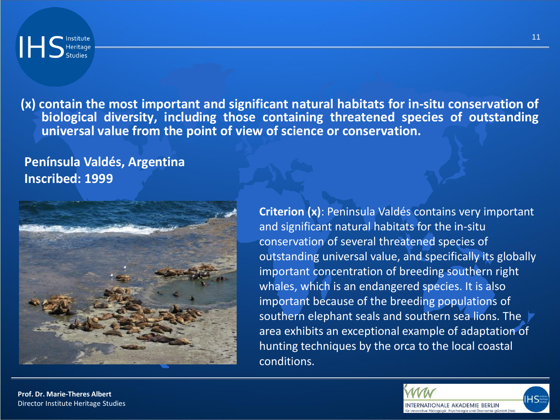

**(x) contain the most important and significant natural habitats for in-situ conservation of biological diversity, including those containing threatened species of outstanding universal value from the point of view of science or conservation.**

**Península Valdés, Argentina Inscribed: 1999**



**Criterion (x)**: Peninsula Valdés contains very important and significant natural habitats for the in-situ conservation of several threatened species of outstanding universal value, and specifically its globally important concentration of breeding southern right whales, which is an endangered species. It is also important because of the breeding populations of southern elephant seals and southern sea lions. The area exhibits an exceptional example of adaptation of hunting techniques by the orca to the local coastal conditions.



11